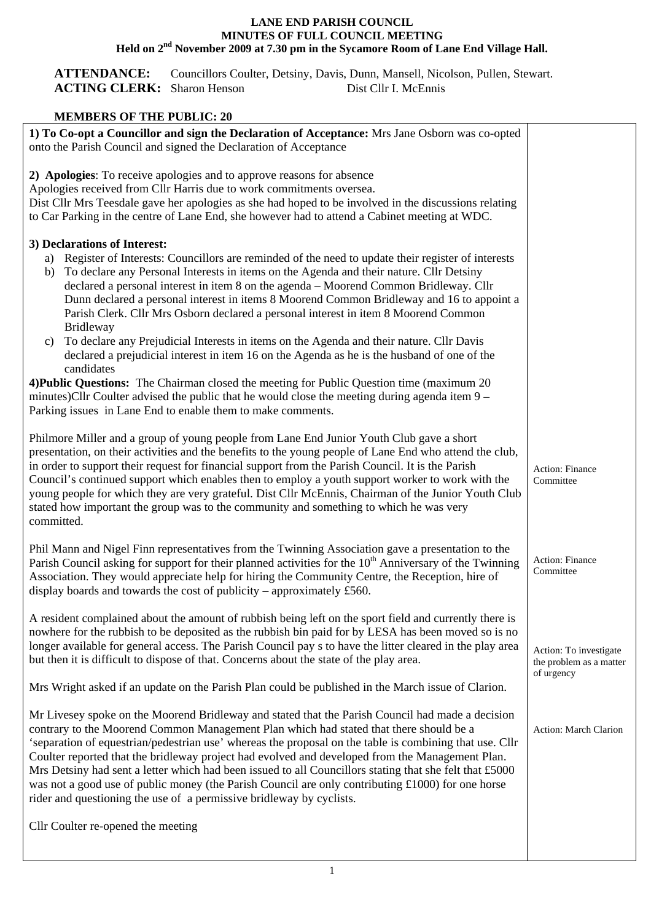## **LANE END PARISH COUNCIL MINUTES OF FULL COUNCIL MEETING Held on 2nd November 2009 at 7.30 pm in the Sycamore Room of Lane End Village Hall.**

**ATTENDANCE:** Councillors Coulter, Detsiny, Davis, Dunn, Mansell, Nicolson, Pullen, Stewart. ACTING CLERK: Sharon Henson Dist Cllr I. McEnnis

## **MEMBERS OF THE PUBLIC: 20**

| 1) To Co-opt a Councillor and sign the Declaration of Acceptance: Mrs Jane Osborn was co-opted<br>onto the Parish Council and signed the Declaration of Acceptance                                                                                                                                                                                                                                                                                                                                                                                                                                                                                                                               |                                                                 |
|--------------------------------------------------------------------------------------------------------------------------------------------------------------------------------------------------------------------------------------------------------------------------------------------------------------------------------------------------------------------------------------------------------------------------------------------------------------------------------------------------------------------------------------------------------------------------------------------------------------------------------------------------------------------------------------------------|-----------------------------------------------------------------|
| 2) Apologies: To receive apologies and to approve reasons for absence<br>Apologies received from Cllr Harris due to work commitments oversea.<br>Dist Cllr Mrs Teesdale gave her apologies as she had hoped to be involved in the discussions relating<br>to Car Parking in the centre of Lane End, she however had to attend a Cabinet meeting at WDC.                                                                                                                                                                                                                                                                                                                                          |                                                                 |
|                                                                                                                                                                                                                                                                                                                                                                                                                                                                                                                                                                                                                                                                                                  |                                                                 |
| 3) Declarations of Interest:<br>a) Register of Interests: Councillors are reminded of the need to update their register of interests<br>To declare any Personal Interests in items on the Agenda and their nature. Cllr Detsiny<br>b)<br>declared a personal interest in item 8 on the agenda - Moorend Common Bridleway. Cllr<br>Dunn declared a personal interest in items 8 Moorend Common Bridleway and 16 to appoint a<br>Parish Clerk. Cllr Mrs Osborn declared a personal interest in item 8 Moorend Common<br><b>Bridleway</b>                                                                                                                                                           |                                                                 |
| To declare any Prejudicial Interests in items on the Agenda and their nature. Cllr Davis<br>c)<br>declared a prejudicial interest in item 16 on the Agenda as he is the husband of one of the<br>candidates                                                                                                                                                                                                                                                                                                                                                                                                                                                                                      |                                                                 |
| 4) Public Questions: The Chairman closed the meeting for Public Question time (maximum 20)<br>minutes)Cllr Coulter advised the public that he would close the meeting during agenda item $9-$<br>Parking issues in Lane End to enable them to make comments.                                                                                                                                                                                                                                                                                                                                                                                                                                     |                                                                 |
| Philmore Miller and a group of young people from Lane End Junior Youth Club gave a short<br>presentation, on their activities and the benefits to the young people of Lane End who attend the club,<br>in order to support their request for financial support from the Parish Council. It is the Parish<br>Council's continued support which enables then to employ a youth support worker to work with the<br>young people for which they are very grateful. Dist Cllr McEnnis, Chairman of the Junior Youth Club<br>stated how important the group was to the community and something to which he was very<br>committed.                                                                      | <b>Action: Finance</b><br>Committee                             |
| Phil Mann and Nigel Finn representatives from the Twinning Association gave a presentation to the<br>Parish Council asking for support for their planned activities for the 10 <sup>th</sup> Anniversary of the Twinning<br>Association. They would appreciate help for hiring the Community Centre, the Reception, hire of<br>display boards and towards the cost of publicity – approximately £560.                                                                                                                                                                                                                                                                                            | Action: Finance<br>Committee                                    |
| A resident complained about the amount of rubbish being left on the sport field and currently there is<br>nowhere for the rubbish to be deposited as the rubbish bin paid for by LESA has been moved so is no<br>longer available for general access. The Parish Council pay s to have the litter cleared in the play area<br>but then it is difficult to dispose of that. Concerns about the state of the play area.                                                                                                                                                                                                                                                                            | Action: To investigate<br>the problem as a matter<br>of urgency |
| Mrs Wright asked if an update on the Parish Plan could be published in the March issue of Clarion.                                                                                                                                                                                                                                                                                                                                                                                                                                                                                                                                                                                               |                                                                 |
| Mr Livesey spoke on the Moorend Bridleway and stated that the Parish Council had made a decision<br>contrary to the Moorend Common Management Plan which had stated that there should be a<br>'separation of equestrian/pedestrian use' whereas the proposal on the table is combining that use. Cllr<br>Coulter reported that the bridleway project had evolved and developed from the Management Plan.<br>Mrs Detsiny had sent a letter which had been issued to all Councillors stating that she felt that £5000<br>was not a good use of public money (the Parish Council are only contributing £1000) for one horse<br>rider and questioning the use of a permissive bridleway by cyclists. | Action: March Clarion                                           |
| Cllr Coulter re-opened the meeting                                                                                                                                                                                                                                                                                                                                                                                                                                                                                                                                                                                                                                                               |                                                                 |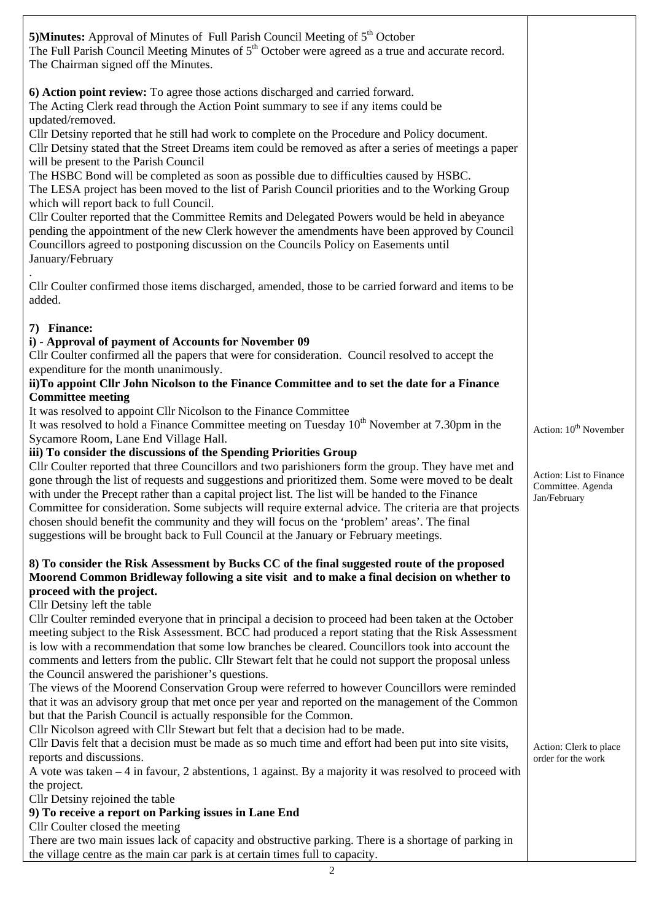| 5) Minutes: Approval of Minutes of Full Parish Council Meeting of 5 <sup>th</sup> October<br>The Full Parish Council Meeting Minutes of 5 <sup>th</sup> October were agreed as a true and accurate record.<br>The Chairman signed off the Minutes.                                                                                                                                                                                                                                                                                                                                                                                                                                     |                                                              |
|----------------------------------------------------------------------------------------------------------------------------------------------------------------------------------------------------------------------------------------------------------------------------------------------------------------------------------------------------------------------------------------------------------------------------------------------------------------------------------------------------------------------------------------------------------------------------------------------------------------------------------------------------------------------------------------|--------------------------------------------------------------|
| 6) Action point review: To agree those actions discharged and carried forward.<br>The Acting Clerk read through the Action Point summary to see if any items could be<br>updated/removed.                                                                                                                                                                                                                                                                                                                                                                                                                                                                                              |                                                              |
| Cllr Detsiny reported that he still had work to complete on the Procedure and Policy document.<br>Cllr Detsiny stated that the Street Dreams item could be removed as after a series of meetings a paper<br>will be present to the Parish Council                                                                                                                                                                                                                                                                                                                                                                                                                                      |                                                              |
| The HSBC Bond will be completed as soon as possible due to difficulties caused by HSBC.<br>The LESA project has been moved to the list of Parish Council priorities and to the Working Group<br>which will report back to full Council.                                                                                                                                                                                                                                                                                                                                                                                                                                                |                                                              |
| Cllr Coulter reported that the Committee Remits and Delegated Powers would be held in abeyance<br>pending the appointment of the new Clerk however the amendments have been approved by Council<br>Councillors agreed to postponing discussion on the Councils Policy on Easements until<br>January/February                                                                                                                                                                                                                                                                                                                                                                           |                                                              |
| Cllr Coulter confirmed those items discharged, amended, those to be carried forward and items to be<br>added.                                                                                                                                                                                                                                                                                                                                                                                                                                                                                                                                                                          |                                                              |
| 7) Finance:                                                                                                                                                                                                                                                                                                                                                                                                                                                                                                                                                                                                                                                                            |                                                              |
| i) - Approval of payment of Accounts for November 09<br>Cllr Coulter confirmed all the papers that were for consideration. Council resolved to accept the<br>expenditure for the month unanimously.                                                                                                                                                                                                                                                                                                                                                                                                                                                                                    |                                                              |
| ii)To appoint Cllr John Nicolson to the Finance Committee and to set the date for a Finance<br><b>Committee meeting</b>                                                                                                                                                                                                                                                                                                                                                                                                                                                                                                                                                                |                                                              |
| It was resolved to appoint Cllr Nicolson to the Finance Committee                                                                                                                                                                                                                                                                                                                                                                                                                                                                                                                                                                                                                      |                                                              |
| It was resolved to hold a Finance Committee meeting on Tuesday $10^{th}$ November at 7.30pm in the<br>Sycamore Room, Lane End Village Hall.                                                                                                                                                                                                                                                                                                                                                                                                                                                                                                                                            | Action: 10 <sup>th</sup> November                            |
| iii) To consider the discussions of the Spending Priorities Group<br>Cllr Coulter reported that three Councillors and two parishioners form the group. They have met and<br>gone through the list of requests and suggestions and prioritized them. Some were moved to be dealt<br>with under the Precept rather than a capital project list. The list will be handed to the Finance<br>Committee for consideration. Some subjects will require external advice. The criteria are that projects<br>chosen should benefit the community and they will focus on the 'problem' areas'. The final<br>suggestions will be brought back to Full Council at the January or February meetings. | Action: List to Finance<br>Committee. Agenda<br>Jan/February |
| 8) To consider the Risk Assessment by Bucks CC of the final suggested route of the proposed                                                                                                                                                                                                                                                                                                                                                                                                                                                                                                                                                                                            |                                                              |
| Moorend Common Bridleway following a site visit and to make a final decision on whether to                                                                                                                                                                                                                                                                                                                                                                                                                                                                                                                                                                                             |                                                              |
| proceed with the project.<br>Cllr Detsiny left the table                                                                                                                                                                                                                                                                                                                                                                                                                                                                                                                                                                                                                               |                                                              |
| Cllr Coulter reminded everyone that in principal a decision to proceed had been taken at the October                                                                                                                                                                                                                                                                                                                                                                                                                                                                                                                                                                                   |                                                              |
| meeting subject to the Risk Assessment. BCC had produced a report stating that the Risk Assessment                                                                                                                                                                                                                                                                                                                                                                                                                                                                                                                                                                                     |                                                              |
| is low with a recommendation that some low branches be cleared. Councillors took into account the<br>comments and letters from the public. Cllr Stewart felt that he could not support the proposal unless                                                                                                                                                                                                                                                                                                                                                                                                                                                                             |                                                              |
| the Council answered the parishioner's questions.                                                                                                                                                                                                                                                                                                                                                                                                                                                                                                                                                                                                                                      |                                                              |
| The views of the Moorend Conservation Group were referred to however Councillors were reminded                                                                                                                                                                                                                                                                                                                                                                                                                                                                                                                                                                                         |                                                              |
| that it was an advisory group that met once per year and reported on the management of the Common<br>but that the Parish Council is actually responsible for the Common.                                                                                                                                                                                                                                                                                                                                                                                                                                                                                                               |                                                              |
| Cllr Nicolson agreed with Cllr Stewart but felt that a decision had to be made.                                                                                                                                                                                                                                                                                                                                                                                                                                                                                                                                                                                                        |                                                              |
| Cllr Davis felt that a decision must be made as so much time and effort had been put into site visits,<br>reports and discussions.                                                                                                                                                                                                                                                                                                                                                                                                                                                                                                                                                     | Action: Clerk to place<br>order for the work                 |
| A vote was taken $-4$ in favour, 2 abstentions, 1 against. By a majority it was resolved to proceed with                                                                                                                                                                                                                                                                                                                                                                                                                                                                                                                                                                               |                                                              |
| the project.                                                                                                                                                                                                                                                                                                                                                                                                                                                                                                                                                                                                                                                                           |                                                              |
| Cllr Detsiny rejoined the table<br>9) To receive a report on Parking issues in Lane End                                                                                                                                                                                                                                                                                                                                                                                                                                                                                                                                                                                                |                                                              |
| Cllr Coulter closed the meeting                                                                                                                                                                                                                                                                                                                                                                                                                                                                                                                                                                                                                                                        |                                                              |
| There are two main issues lack of capacity and obstructive parking. There is a shortage of parking in                                                                                                                                                                                                                                                                                                                                                                                                                                                                                                                                                                                  |                                                              |
| the village centre as the main car park is at certain times full to capacity.                                                                                                                                                                                                                                                                                                                                                                                                                                                                                                                                                                                                          |                                                              |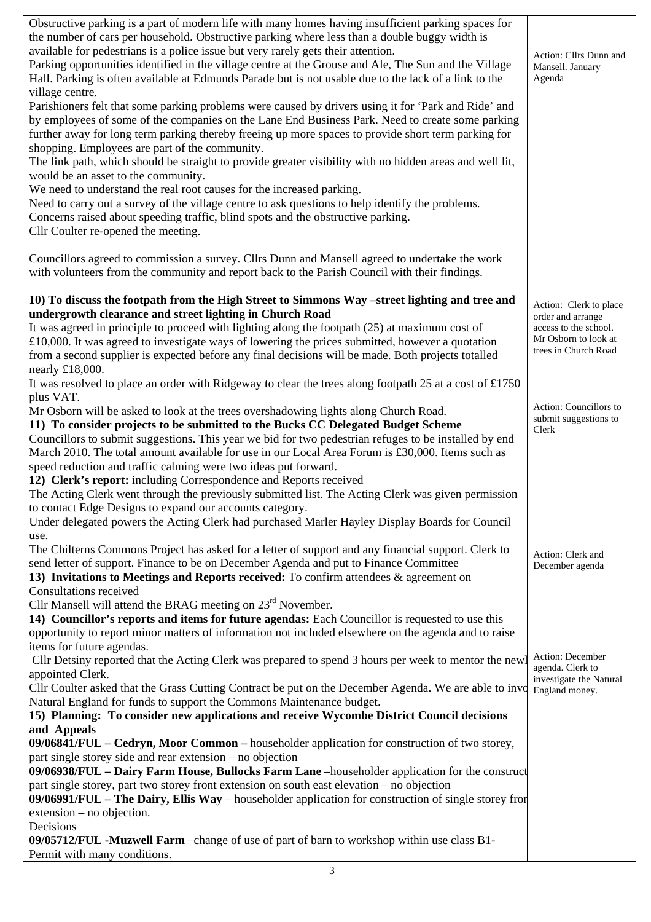| Obstructive parking is a part of modern life with many homes having insufficient parking spaces for<br>the number of cars per household. Obstructive parking where less than a double buggy width is |                                              |
|------------------------------------------------------------------------------------------------------------------------------------------------------------------------------------------------------|----------------------------------------------|
| available for pedestrians is a police issue but very rarely gets their attention.                                                                                                                    |                                              |
| Parking opportunities identified in the village centre at the Grouse and Ale, The Sun and the Village                                                                                                | Action: Cllrs Dunn and<br>Mansell. January   |
| Hall. Parking is often available at Edmunds Parade but is not usable due to the lack of a link to the                                                                                                | Agenda                                       |
| village centre.                                                                                                                                                                                      |                                              |
| Parishioners felt that some parking problems were caused by drivers using it for 'Park and Ride' and                                                                                                 |                                              |
| by employees of some of the companies on the Lane End Business Park. Need to create some parking                                                                                                     |                                              |
| further away for long term parking thereby freeing up more spaces to provide short term parking for                                                                                                  |                                              |
| shopping. Employees are part of the community.<br>The link path, which should be straight to provide greater visibility with no hidden areas and well lit,                                           |                                              |
| would be an asset to the community.                                                                                                                                                                  |                                              |
| We need to understand the real root causes for the increased parking.                                                                                                                                |                                              |
| Need to carry out a survey of the village centre to ask questions to help identify the problems.                                                                                                     |                                              |
| Concerns raised about speeding traffic, blind spots and the obstructive parking.                                                                                                                     |                                              |
| Cllr Coulter re-opened the meeting.                                                                                                                                                                  |                                              |
|                                                                                                                                                                                                      |                                              |
| Councillors agreed to commission a survey. Cllrs Dunn and Mansell agreed to undertake the work                                                                                                       |                                              |
| with volunteers from the community and report back to the Parish Council with their findings.                                                                                                        |                                              |
| 10) To discuss the footpath from the High Street to Simmons Way -street lighting and tree and                                                                                                        | Action: Clerk to place                       |
| undergrowth clearance and street lighting in Church Road                                                                                                                                             | order and arrange                            |
| It was agreed in principle to proceed with lighting along the footpath (25) at maximum cost of                                                                                                       | access to the school.                        |
| £10,000. It was agreed to investigate ways of lowering the prices submitted, however a quotation                                                                                                     | Mr Osborn to look at<br>trees in Church Road |
| from a second supplier is expected before any final decisions will be made. Both projects totalled                                                                                                   |                                              |
| nearly £18,000.                                                                                                                                                                                      |                                              |
| It was resolved to place an order with Ridgeway to clear the trees along footpath 25 at a cost of £1750                                                                                              |                                              |
| plus VAT.                                                                                                                                                                                            | Action: Councillors to                       |
| Mr Osborn will be asked to look at the trees overshadowing lights along Church Road.<br>11) To consider projects to be submitted to the Bucks CC Delegated Budget Scheme                             | submit suggestions to                        |
| Councillors to submit suggestions. This year we bid for two pedestrian refuges to be installed by end                                                                                                | Clerk                                        |
| March 2010. The total amount available for use in our Local Area Forum is £30,000. Items such as                                                                                                     |                                              |
| speed reduction and traffic calming were two ideas put forward.                                                                                                                                      |                                              |
| 12) Clerk's report: including Correspondence and Reports received                                                                                                                                    |                                              |
| The Acting Clerk went through the previously submitted list. The Acting Clerk was given permission                                                                                                   |                                              |
| to contact Edge Designs to expand our accounts category.                                                                                                                                             |                                              |
| Under delegated powers the Acting Clerk had purchased Marler Hayley Display Boards for Council                                                                                                       |                                              |
| use.                                                                                                                                                                                                 |                                              |
| The Chilterns Commons Project has asked for a letter of support and any financial support. Clerk to<br>send letter of support. Finance to be on December Agenda and put to Finance Committee         | Action: Clerk and                            |
| 13) Invitations to Meetings and Reports received: To confirm attendees $\&$ agreement on                                                                                                             | December agenda                              |
| Consultations received                                                                                                                                                                               |                                              |
| Cllr Mansell will attend the BRAG meeting on $23rd$ November.                                                                                                                                        |                                              |
| 14) Councillor's reports and items for future agendas: Each Councillor is requested to use this                                                                                                      |                                              |
| opportunity to report minor matters of information not included elsewhere on the agenda and to raise                                                                                                 |                                              |
| items for future agendas.                                                                                                                                                                            | Action: December                             |
| Cllr Detsiny reported that the Acting Clerk was prepared to spend 3 hours per week to mentor the newl                                                                                                | agenda. Clerk to                             |
| appointed Clerk.                                                                                                                                                                                     | investigate the Natural                      |
| Cllr Coulter asked that the Grass Cutting Contract be put on the December Agenda. We are able to invo<br>Natural England for funds to support the Commons Maintenance budget.                        | England money.                               |
| 15) Planning: To consider new applications and receive Wycombe District Council decisions                                                                                                            |                                              |
| and Appeals                                                                                                                                                                                          |                                              |
| 09/06841/FUL – Cedryn, Moor Common – householder application for construction of two storey,                                                                                                         |                                              |
| part single storey side and rear extension – no objection                                                                                                                                            |                                              |
| 09/06938/FUL – Dairy Farm House, Bullocks Farm Lane – householder application for the construct                                                                                                      |                                              |
| part single storey, part two storey front extension on south east elevation – no objection                                                                                                           |                                              |
| 09/06991/FUL - The Dairy, Ellis Way - householder application for construction of single storey from<br>$extension - no objection.$                                                                  |                                              |
| Decisions                                                                                                                                                                                            |                                              |
| 09/05712/FUL -Muzwell Farm -change of use of part of barn to workshop within use class B1-                                                                                                           |                                              |
| Permit with many conditions.                                                                                                                                                                         |                                              |